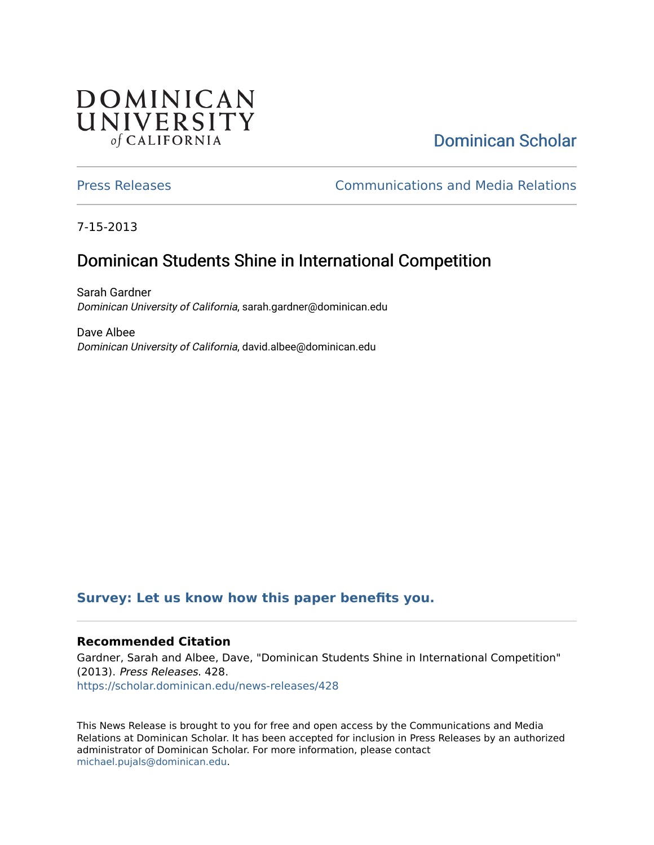## **DOMINICAN** UNIVERSITY of CALIFORNIA

# [Dominican Scholar](https://scholar.dominican.edu/)

[Press Releases](https://scholar.dominican.edu/news-releases) [Communications and Media Relations](https://scholar.dominican.edu/communications-media) 

7-15-2013

# Dominican Students Shine in International Competition

Sarah Gardner Dominican University of California, sarah.gardner@dominican.edu

Dave Albee Dominican University of California, david.albee@dominican.edu

### **[Survey: Let us know how this paper benefits you.](https://dominican.libwizard.com/dominican-scholar-feedback)**

#### **Recommended Citation**

Gardner, Sarah and Albee, Dave, "Dominican Students Shine in International Competition" (2013). Press Releases. 428. [https://scholar.dominican.edu/news-releases/428](https://scholar.dominican.edu/news-releases/428?utm_source=scholar.dominican.edu%2Fnews-releases%2F428&utm_medium=PDF&utm_campaign=PDFCoverPages)

This News Release is brought to you for free and open access by the Communications and Media Relations at Dominican Scholar. It has been accepted for inclusion in Press Releases by an authorized administrator of Dominican Scholar. For more information, please contact [michael.pujals@dominican.edu.](mailto:michael.pujals@dominican.edu)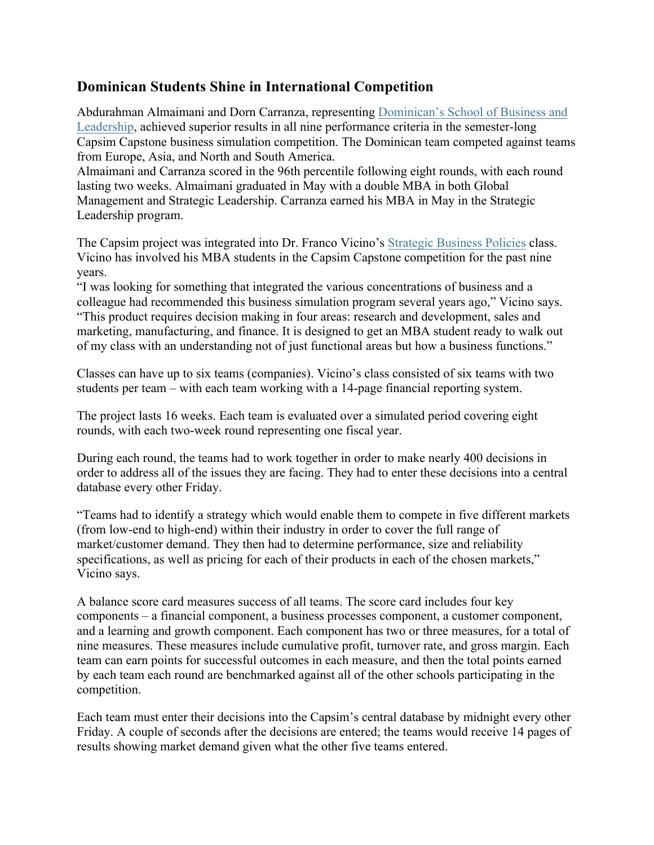### **Dominican Students Shine in International Competition**

Abdurahman Almaimani and Dorn Carranza, representing Dominican's School of Business and Leadership, achieved superior results in all nine performance criteria in the semester-long Capsim Capstone business simulation competition. The Dominican team competed against teams from Europe, Asia, and North and South America.

Almaimani and Carranza scored in the 96th percentile following eight rounds, with each round lasting two weeks. Almaimani graduated in May with a double MBA in both Global Management and Strategic Leadership. Carranza earned his MBA in May in the Strategic Leadership program.

The Capsim project was integrated into Dr. Franco Vicino's Strategic Business Policies class. Vicino has involved his MBA students in the Capsim Capstone competition for the past nine years.

"I was looking for something that integrated the various concentrations of business and a colleague had recommended this business simulation program several years ago," Vicino says. "This product requires decision making in four areas: research and development, sales and marketing, manufacturing, and finance. It is designed to get an MBA student ready to walk out of my class with an understanding not of just functional areas but how a business functions."

Classes can have up to six teams (companies). Vicino's class consisted of six teams with two students per team – with each team working with a 14-page financial reporting system.

The project lasts 16 weeks. Each team is evaluated over a simulated period covering eight rounds, with each two-week round representing one fiscal year.

During each round, the teams had to work together in order to make nearly 400 decisions in order to address all of the issues they are facing. They had to enter these decisions into a central database every other Friday.

"Teams had to identify a strategy which would enable them to compete in five different markets (from low-end to high-end) within their industry in order to cover the full range of market/customer demand. They then had to determine performance, size and reliability specifications, as well as pricing for each of their products in each of the chosen markets," Vicino says.

A balance score card measures success of all teams. The score card includes four key components – a financial component, a business processes component, a customer component, and a learning and growth component. Each component has two or three measures, for a total of nine measures. These measures include cumulative profit, turnover rate, and gross margin. Each team can earn points for successful outcomes in each measure, and then the total points earned by each team each round are benchmarked against all of the other schools participating in the competition.

Each team must enter their decisions into the Capsim's central database by midnight every other Friday. A couple of seconds after the decisions are entered; the teams would receive 14 pages of results showing market demand given what the other five teams entered.